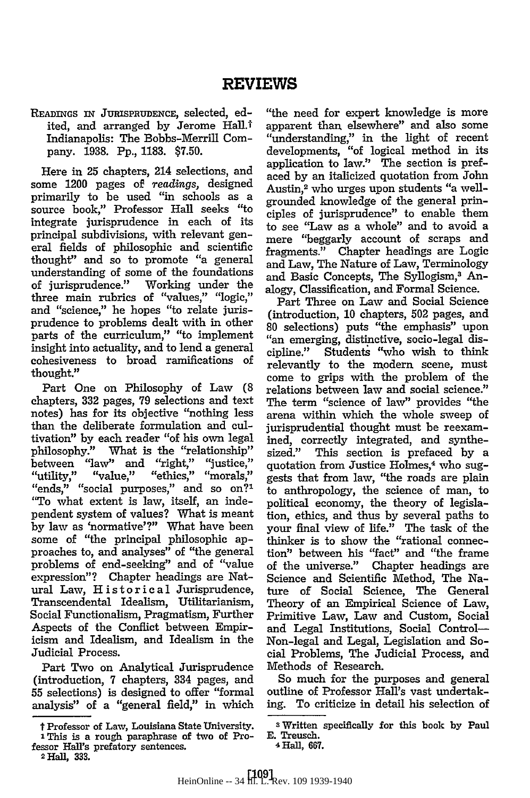## **READINGS** IN JURISPRUDENcE, selected, edited, and arranged by Jerome Hall.<sup>†</sup> Indianapolis: The Bobbs-Merrill Company. **1938.** Pp., **1183.** \$7.50.

Here in 25 chapters, 214 selections, and some 1200 pages of *readings,* designed primarily to be used "in schools as a source book," Professor Hall seeks "to integrate jurisprudence in each of its principal subdivisions, with relevant general fields of philosophic and scientific thought" and so to promote "a general understanding of some of the foundations of jurisprudence." Working under the three main rubrics of "values," **"logic,"** and "science," **he** hopes "to relate jurisprudence to problems dealt with in other parts of the curriculum," "to implement insight into actuality, and to lend a general cohesiveness to broad ramifications of thought."

Part One on Philosophy of Law **(8** chapters, **332** pages, **79** selections and text notes) has for its objective "nothing less than the deliberate formulation and cultivation" **by** each reader "of his own legal philosophy." What is the "relationship"<br>between "law" and "right," "justice," "utility," "value," "ethics," "morals,"<br>"ends," "social purposes," and so on?' "To what extent is law, itself, an independent system of values? What is meant by law as 'normative'?" What have been some of "the principal philosophic approaches to, and analyses" of "the general problems of end-seeking" and of "value expression"? Chapter headings are Natural Law, Historical Jurisprudence, Transcendental Idealism, Utilitarianism, Social Functionalism, Pragmatism, Further Aspects of the Conflict between Empiricism and Idealism, and Idealism in the Judicial Process.

Part Two on Analytical Jurisprudence (introduction, **7** chapters, 334 pages, and **55** selections) is designed to offer "formal analysis" of a "general field," in which

2 **Hall, 333.**

"the need for expert knowledge is more apparent than elsewhere" and also some "understanding," in the light of recent developments, "of logical method in its application to law." The section is prefaced by an italicized quotation from John Austin,<sup>2</sup> who urges upon students "a wellgrounded knowledge of the general principles of jurisprudence" to enable them to see "Law as a whole" and to avoid a mere "beggarly account of scraps and fragments." Chapter headings are Logic and Law, The Nature of Law, Terminology and Basic Concepts, The Syllogism,<sup>3</sup> Analogy, Classification, and Formal Science.

Part Three on Law and Social Science (introduction, **10** chapters, **502** pages, and 80 selections) puts "the emphasis" upon "an emerging, distinctive, socio-legal discipline." Students "who wish to think relevantly to the modern scene, must come to grips with the problem of the relations between law and social science." The term "science of law" provides "the arena within which the whole sweep of jurisprudential thought must be reexamined, correctly integrated, and synthesized." This section is prefaced by a quotation from Justice Holmes,<sup>4</sup> who suggests that from law, "the roads are plain to anthropology, the science of man, to political economy, the theory of legislation, ethics, and thus by several paths to your final view of life." The task of the thinker is to show the "rational connection" between his "fact" and "the frame of the universe." Chapter headings are Science and Scientific Method, The Nature of Social Science, The General Theory of an Empirical Science of Law, Primitive Law, Law and Custom, Social and Legal Institutions, Social Control-Non-legal and Legal, Legislation and Social Problems, The Judicial Process, and Methods of Research.

So much for the purposes and general outline of Professor Hall's vast undertaking. To criticize in detail his selection of

t Professor of Law, Louisiana State University. **I** This is a rough paraphrase of two of Professor Hall's prefatory sentences.

s Written specifically for this book **by** Paul **E. Treusch.**

<sup>4</sup> Hall, **667.**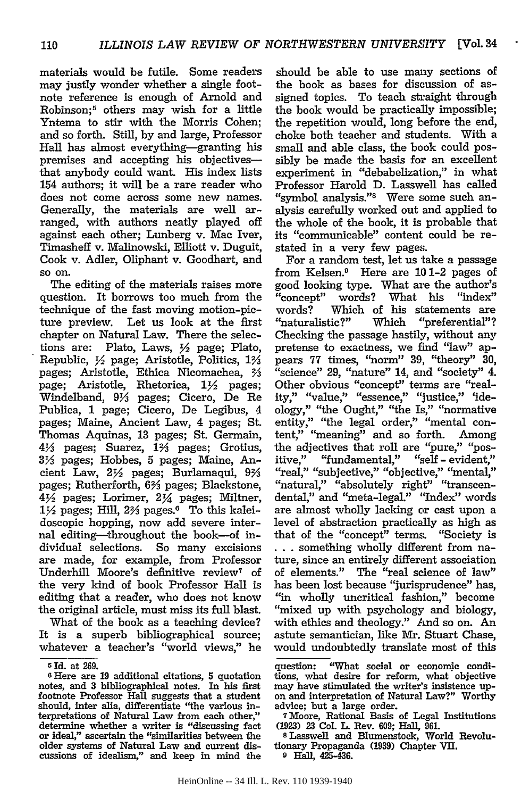materials would be futile. Some readers may justly wonder whether a single footnote reference is enough of Arnold and Robinson;5 others may wish for a little Yntema to stir with the Morris Cohen; and so forth. Still, by and large, Professor Hall has almost everything-granting his premises and accepting his objectivesthat anybody could want. His index lists 154 authors; it will be a rare reader who does not come across some new names. Generally, the materials are well arranged, with authors neatly played off against each other; Lunberg v. Mac Iver, Timasheff v. Malinowski, Elliott v. Duguit, Cook v. Adler, Oliphant v. Goodhart, and so on.

The editing of the materials raises more question. It borrows too much from the technique of the fast moving motion-picture preview. Let us look at the first chapter on Natural Law. There the selections are: Plato, Laws, 1/2 page; Plato, Republic, Y2 page; Aristotle, Politics, **13/3** pages; Aristotle, Ethica Nicomachea, 23 page; Aristotle, Rhetorica,  $1\frac{1}{2}$  pages; Windelband, 91/3 pages; Cicero, De Re Publica, 1 page; Cicero, De Legibus, 4 pages; Maine, Ancient Law, 4 pages; St. Thomas Aquinas, 13 pages; St. Germain, 41/<sub>3</sub> pages; Suarez, 1<sup>2</sup>/<sub>3</sub> pages; Grotius, *3Y* pages; Hobbes, 5 pages; Maine, Ancient Law,  $2\frac{1}{2}$  pages; Burlamaqui,  $9\frac{1}{3}$ pages; Rutherforth, 6% pages; Blackstone,  $4\frac{1}{2}$  pages; Lorimer,  $2\frac{1}{4}$  pages; Miltner, 1<sup>1</sup>/<sub>2</sub> pages; Hill, 2<sup>2</sup>/<sub>3</sub> pages.<sup>6</sup> To this kaleidoscopic hopping, now add severe internal editing-throughout the book-of individual selections. So many excisions are made, for example, from Professor Underhill Moore's definitive review<sup>7</sup> of the very kind of book Professor Hall is editing that a reader, who does not know the original article, must miss its full blast.

What of the book as a teaching device? It is a superb bibliographical source; whatever a teacher's "world views," he should be able to use many sections of the book as bases for discussion of assigned topics. To teach straight through the book would be practically impossible; the repetition would, long before the end, choke both teacher and students. With a small and able class, the book could possibly be made the basis for an excellent experiment in "debabelization," in what Professor Harold D. Lasswell has called "symbol analysis."8 Were some such analysis carefully worked out and applied to the whole of the book, it is probable that its "communicable" content could be restated in a very few pages.

For a random test, let us take a passage from Kelsen.9 Here are 10 1-2 pages of good looking type. What are the author's "concept" words? What his "index" words? Which of his statements are "naturalistic?" Which "preferential"? Checking the passage hastily, without any pretense to exactness, we find "law" appears 77 times, "norm" 39, "theory" 30, "science" 29, "nature" 14, and "society" 4. Other obvious "concept" terms are "reality," "value," "essence," "justice," 'ideology," "the Ought," "the Is," "normative entity," "the legal order," "mental content," "meaning" and so forth. Among the adjectives that roll are "pure," "positive," "fundamental," "self - evident," "real," "subjective," "objective," "mental," "natural," "absolutely right" "transcendental," and "meta-legal." "Index" words are almost wholly lacking or cast upon a level of abstraction practically as high as that of the "concept" terms. "Society is **...** something wholly different from nature, since an entirely different association of elements." The "real science of law" has been lost because "jurisprudence" has, "in wholly uncritical fashion," become "mixed up with psychology and biology, with ethics and theology." And so on. An astute semantician, like Mr. Stuart Chase, would undoubtedly translate most of this

**<sup>5</sup>** Id. at 269.

**<sup>6</sup>** Here are **19** additional citations, **5** quotation notes, and 3 bibliographical notes. In his first footnote Professor Hall suggests that a student should, inter alla, differentiate "the various interpretations of Natural Law from each other," determine whether a writer is "discussing fact or ideal," ascertain the "similarities between the older systems of Natural Law and current discussions of idealism," and keep in mind the

question: "What social or economic conditions, what desire for reform, what objective may have stimulated the writer's insistence up-<br>on and interpretation of Natural Law?" Worthy<br>advice; but a large order.<br><sup>7</sup>Moore, Rational Basis of Legal Institutions

<sup>(1923)</sup> **23** Col. L. Rev. **609;** Hall, **961.** s Lasswell and Blumenstock, World Revolu-

tionary Propaganda (1939) Chapter VII.

**<sup>9</sup> Hall, 425-436.**